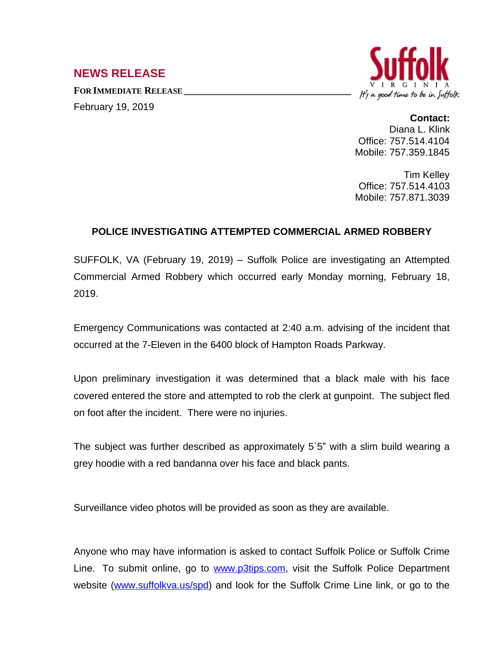## **NEWS RELEASE**

**FOR IMMEDIATE RELEASE \_\_\_\_\_\_\_\_\_\_\_\_\_\_\_\_\_\_\_\_\_\_\_\_\_\_\_\_\_\_\_\_\_\_** February 19, 2019



## **Contact:**

Diana L. Klink Office: 757.514.4104 Mobile: 757.359.1845

Tim Kelley Office: 757.514.4103 Mobile: 757.871.3039

## **POLICE INVESTIGATING ATTEMPTED COMMERCIAL ARMED ROBBERY**

SUFFOLK, VA (February 19, 2019) – Suffolk Police are investigating an Attempted Commercial Armed Robbery which occurred early Monday morning, February 18, 2019.

Emergency Communications was contacted at 2:40 a.m. advising of the incident that occurred at the 7-Eleven in the 6400 block of Hampton Roads Parkway.

Upon preliminary investigation it was determined that a black male with his face covered entered the store and attempted to rob the clerk at gunpoint. The subject fled on foot after the incident. There were no injuries.

The subject was further described as approximately 5`5" with a slim build wearing a grey hoodie with a red bandanna over his face and black pants.

Surveillance video photos will be provided as soon as they are available.

Anyone who may have information is asked to contact Suffolk Police or Suffolk Crime Line. To submit online, go to [www.p3tips.com](http://www.p3tips.com), visit the Suffolk Police Department website [\(www.suffolkva.us/spd\)](http://www.suffolkva.us/spd) and look for the Suffolk Crime Line link, or go to the